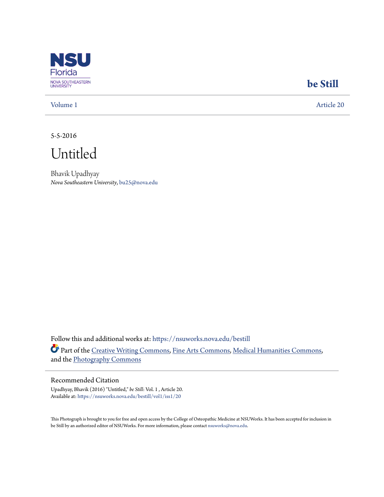

## **[be Still](https://nsuworks.nova.edu/bestill?utm_source=nsuworks.nova.edu%2Fbestill%2Fvol1%2Fiss1%2F20&utm_medium=PDF&utm_campaign=PDFCoverPages)**

[Volume 1](https://nsuworks.nova.edu/bestill/vol1?utm_source=nsuworks.nova.edu%2Fbestill%2Fvol1%2Fiss1%2F20&utm_medium=PDF&utm_campaign=PDFCoverPages) [Article 20](https://nsuworks.nova.edu/bestill/vol1/iss1/20?utm_source=nsuworks.nova.edu%2Fbestill%2Fvol1%2Fiss1%2F20&utm_medium=PDF&utm_campaign=PDFCoverPages)

5-5-2016

Untitled

Bhavik Upadhyay *Nova Southeastern University*, bu25@nova.edu

Follow this and additional works at: [https://nsuworks.nova.edu/bestill](https://nsuworks.nova.edu/bestill?utm_source=nsuworks.nova.edu%2Fbestill%2Fvol1%2Fiss1%2F20&utm_medium=PDF&utm_campaign=PDFCoverPages) Part of the [Creative Writing Commons](http://network.bepress.com/hgg/discipline/574?utm_source=nsuworks.nova.edu%2Fbestill%2Fvol1%2Fiss1%2F20&utm_medium=PDF&utm_campaign=PDFCoverPages), [Fine Arts Commons,](http://network.bepress.com/hgg/discipline/1141?utm_source=nsuworks.nova.edu%2Fbestill%2Fvol1%2Fiss1%2F20&utm_medium=PDF&utm_campaign=PDFCoverPages) [Medical Humanities Commons,](http://network.bepress.com/hgg/discipline/1303?utm_source=nsuworks.nova.edu%2Fbestill%2Fvol1%2Fiss1%2F20&utm_medium=PDF&utm_campaign=PDFCoverPages) and the [Photography Commons](http://network.bepress.com/hgg/discipline/1142?utm_source=nsuworks.nova.edu%2Fbestill%2Fvol1%2Fiss1%2F20&utm_medium=PDF&utm_campaign=PDFCoverPages)

## Recommended Citation

Upadhyay, Bhavik (2016) "Untitled," *be Still*: Vol. 1 , Article 20. Available at: [https://nsuworks.nova.edu/bestill/vol1/iss1/20](https://nsuworks.nova.edu/bestill/vol1/iss1/20?utm_source=nsuworks.nova.edu%2Fbestill%2Fvol1%2Fiss1%2F20&utm_medium=PDF&utm_campaign=PDFCoverPages)

This Photograph is brought to you for free and open access by the College of Osteopathic Medicine at NSUWorks. It has been accepted for inclusion in be Still by an authorized editor of NSUWorks. For more information, please contact [nsuworks@nova.edu](mailto:nsuworks@nova.edu).